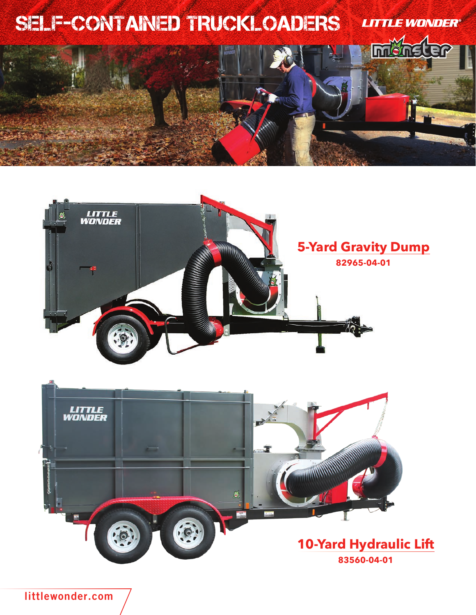





**littlewonder.com**